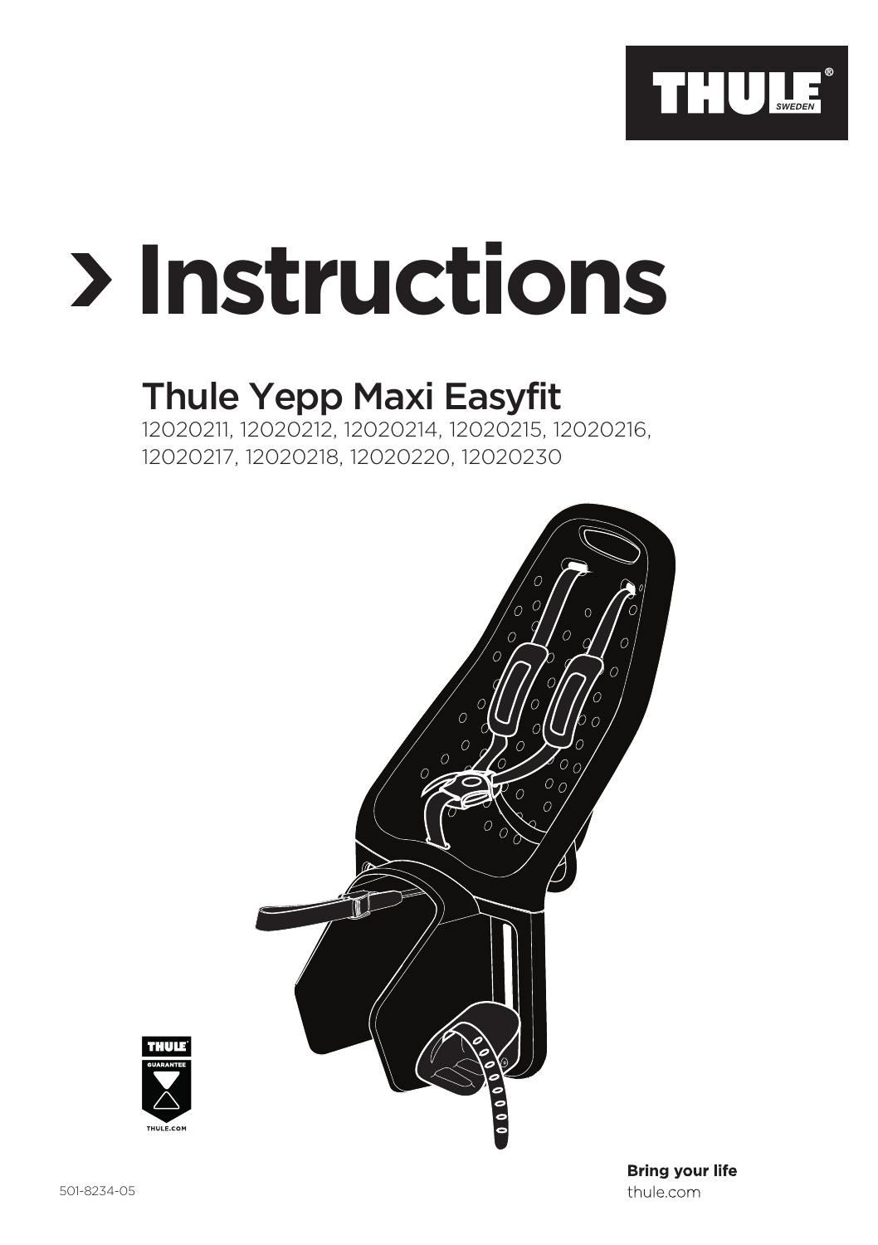

# **Instructions**

## Thule Yepp Maxi Easyfit

12020211, 12020212, 12020214, 12020215, 12020216, 12020217, 12020218, 12020220, 12020230





**Bring your life** thule.com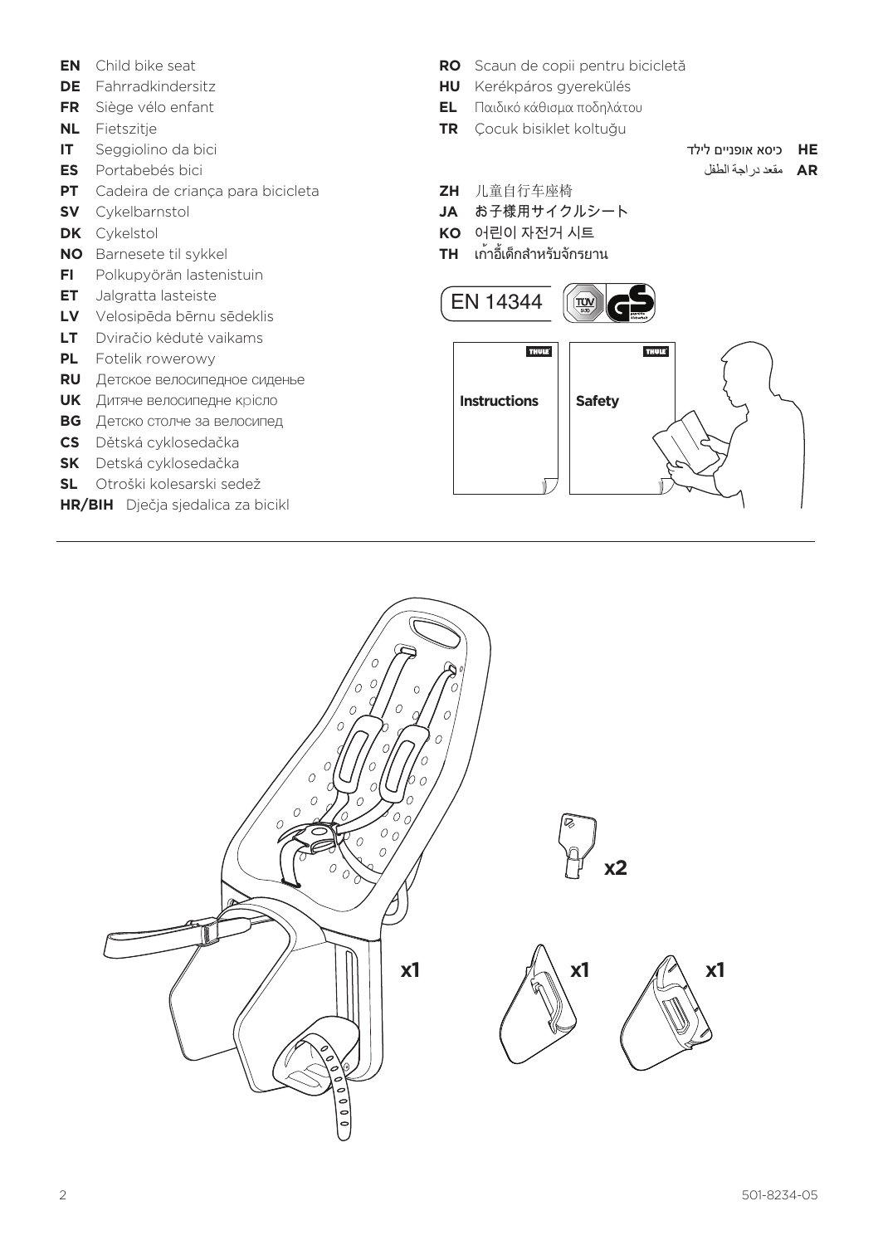- **EN** Child bike seat
- **DE** Fahrradkindersitz
- **FR** Siège vélo enfant
- **NL** Fietszitje
- **IT** Seggiolino da bici
- **ES** Portabebés bici
- **PT** Cadeira de criança para bicicleta
- **SV** Cykelbarnstol
- **DK** Cykelstol
- **NO** Barnesete til sykkel
- **FI** Polkupyörän lastenistuin
- **ET** Jalgratta lasteiste
- **LV** Velosipēda bērnu sēdeklis
- **LT** Dviračio kėdutė vaikams
- **PL** Fotelik rowerowy
- **RU** Детское велосипедное сиденье
- **UK** Дитяче велосипедне крісло
- **BG** Детско столче за велосипед
- **CS** Dětská cyklosedačka
- **SK** Detská cyklosedačka
- **SL** Otroški kolesarski sedež
- **HR/BIH** Dječja sjedalica za bicikl
- **RO** Scaun de copii pentru bicicletă
- **HU** Kerékpáros gyerekülés
- **EL** Παιδικό κάθισμα ποδηλάτου
- **TR** Çocuk bisiklet koltuğu
- **HE** כיסא אופניים לילד
	- **AR** مقعد دراجة الطفل
- **ZH** 儿童自行车座椅
- **JA** お子様用サイクルシート
- **KO** 어린이 자전거 시트
- **TH** เก้าอี้เด็กสำ หรับจักรยาน



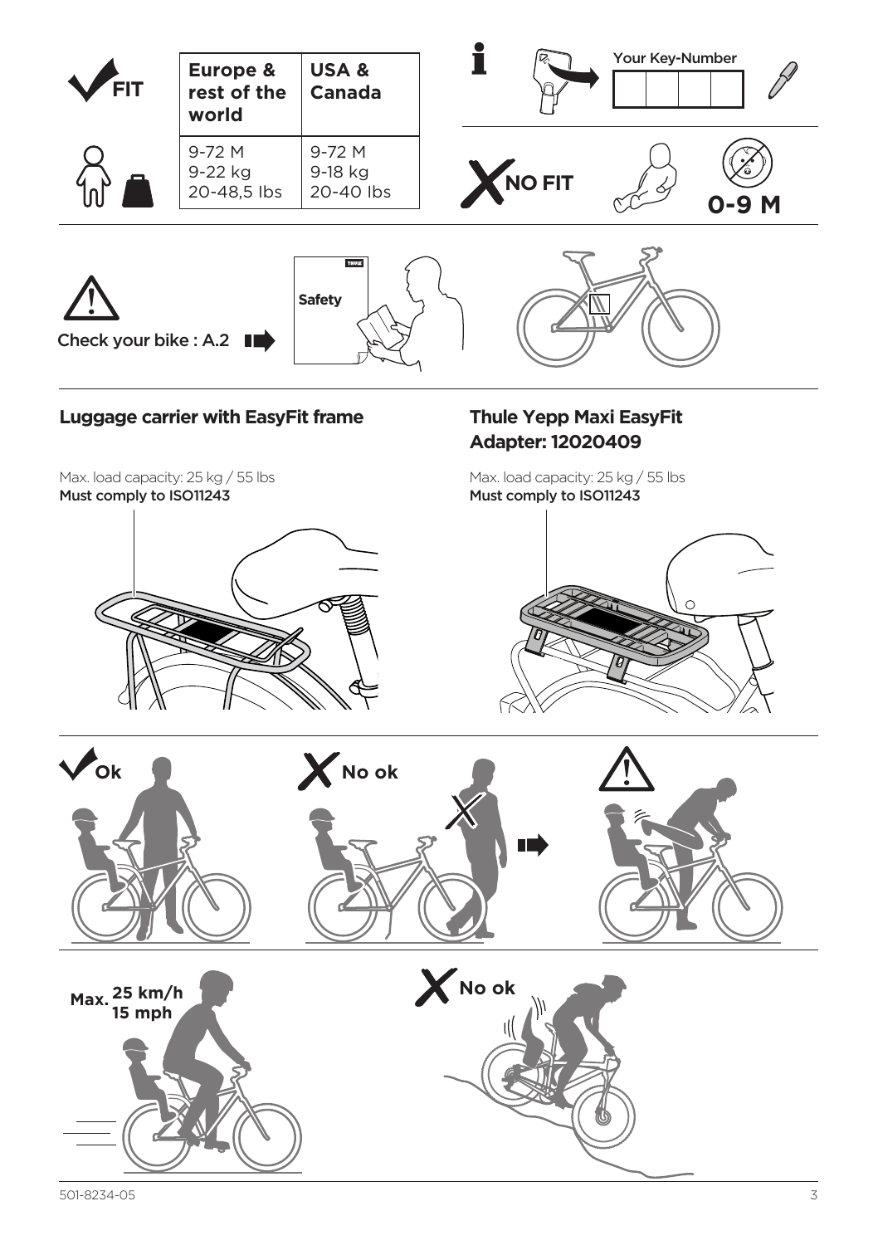

#### **Luggage carrier with EasyFit frame**

Max. load capacity: 25 kg / 55 lbs Must comply to ISO11243



#### **Thule Yepp Maxi EasyFit Adapter: 12020409**

Max. load capacity: 25 kg / 55 lbs Must comply to ISO11243



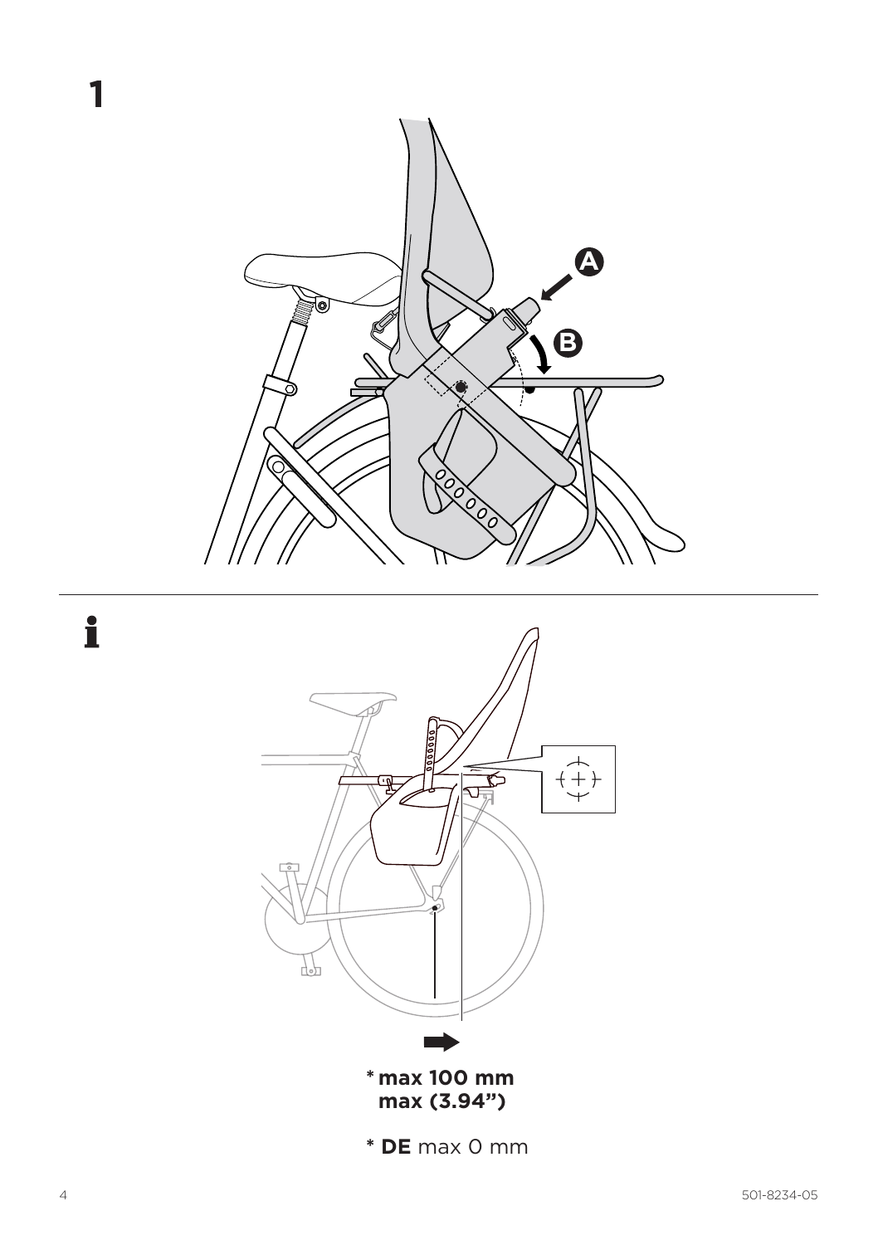



\* DE max 0 mm

1

 $\mathbf i$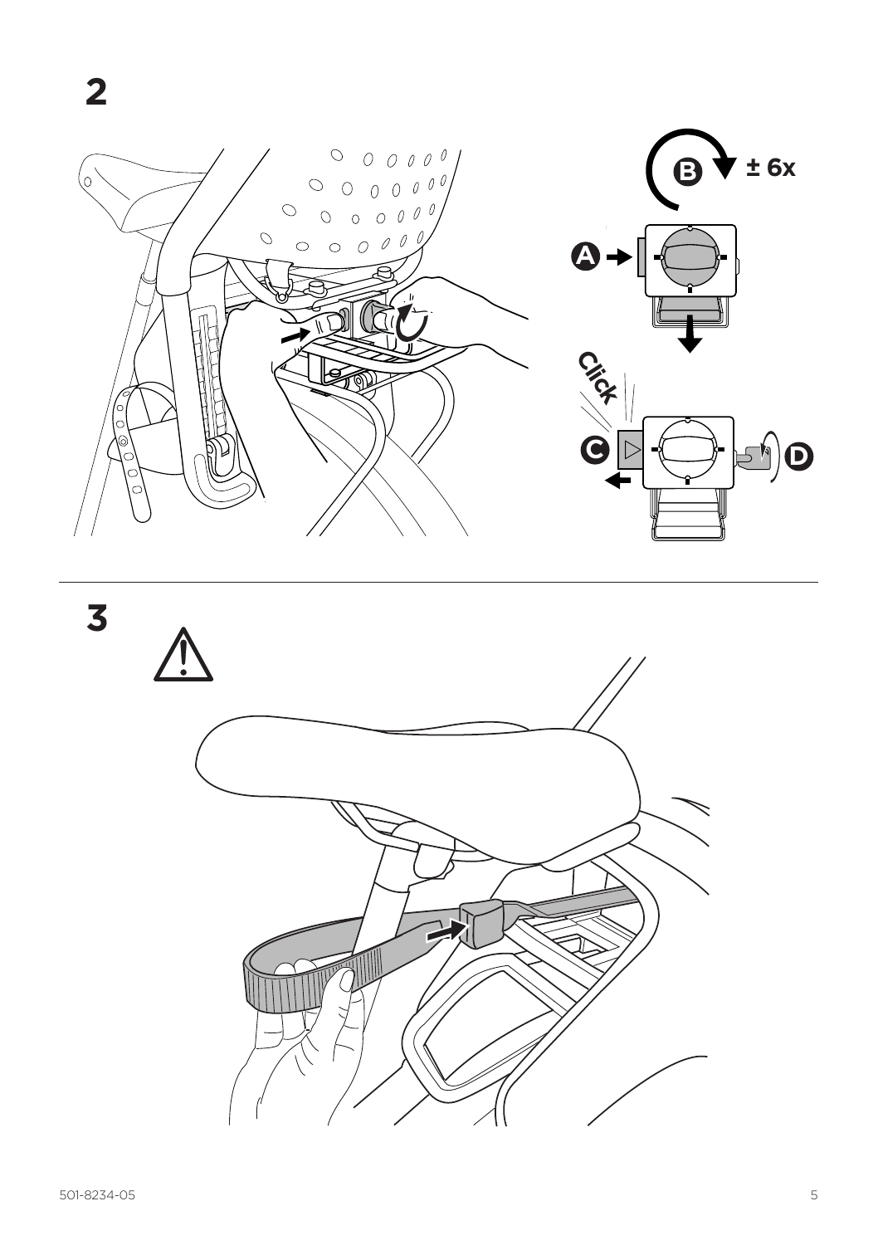

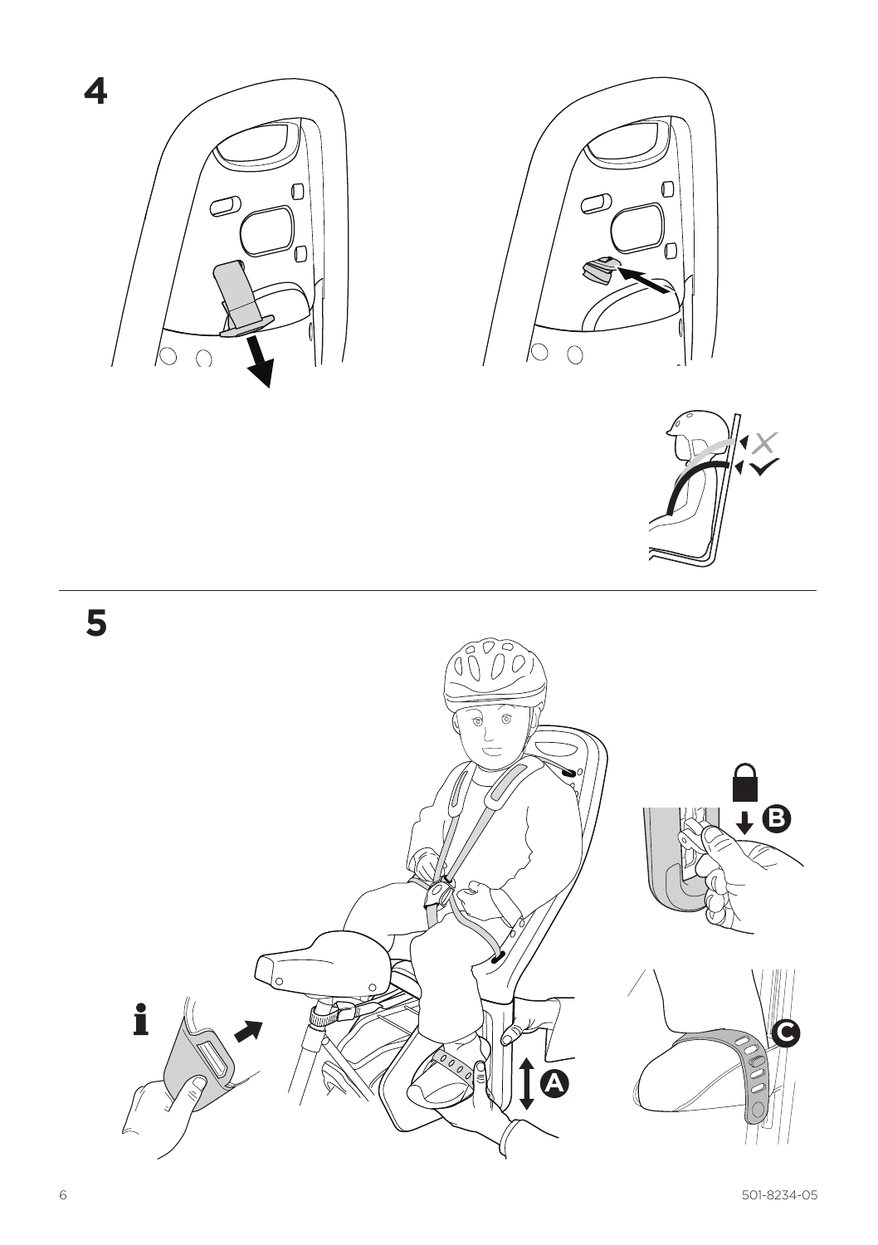

0

4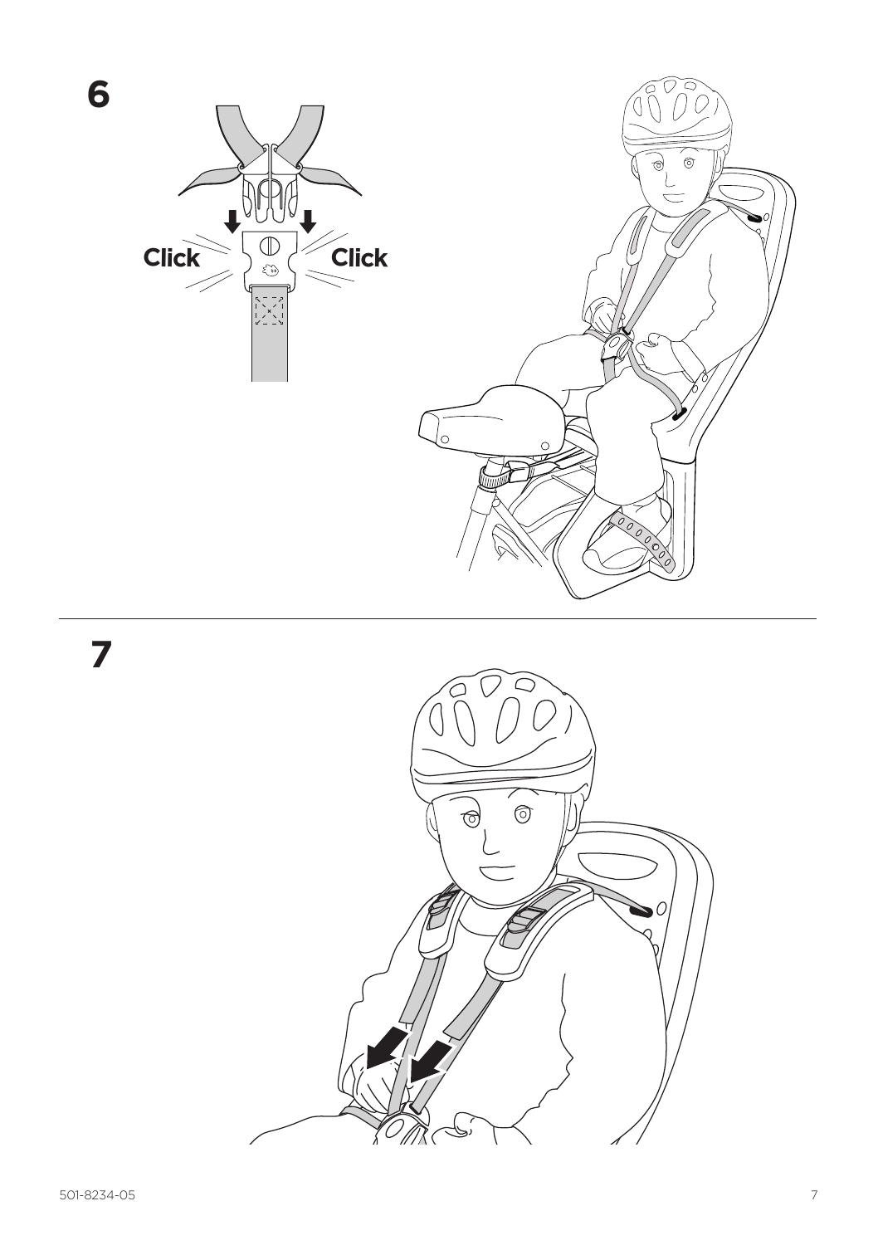

**7**